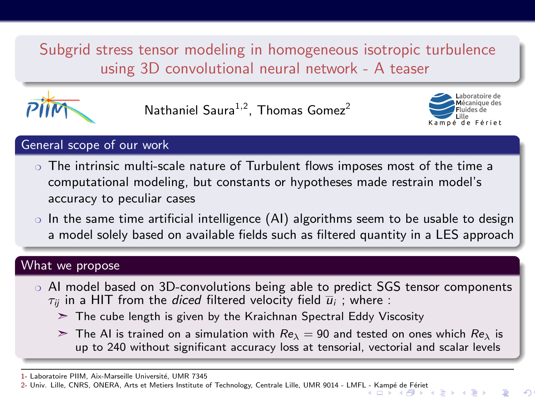<span id="page-0-0"></span>Subgrid stress tensor modeling in homogeneous isotropic turbulence using 3D convolutional neural network - A teaser



Nathaniel Saura $1,2$ , Thomas Gomez<sup>2</sup>



## General scope of our work

- ❍ The intrinsic multi-scale nature of Turbulent flows imposes most of the time a computational modeling, but constants or hypotheses made restrain model's accuracy to peculiar cases
- $\circ$  In the same time artificial intelligence (AI) algorithms seem to be usable to design a model solely based on available fields such as filtered quantity in a LES approach

## What we propose

- AI model based on 3D-convolutions being able to predict SGS tensor components  $\tau_{ii}$  in a HIT from the diced filtered velocity field  $\overline{u}_i$ ; where :
	- $\geq$  The cube length is given by the Kraichnan Spectral Eddy Viscosity
	- $\geq$  The AI is trained on a simulation with  $Re_{\lambda} = 90$  and tested on ones which  $Re_{\lambda}$  is up to 240 without significant accuracy loss at tensorial, vectorial and scalar levels

<sup>1-</sup> Laboratoire PIIM, Aix-Marseille Université, UMR 7345

<sup>2-</sup> Univ. Lille, CNRS, ONERA, Arts et Metiers Institute of Technology, Centrale Lille, UMR 9014 - LMF[L - K](#page-0-0)ampé de Fér[iet](#page-1-0)<br>(  $\Box \rightarrow \Box \rightarrow \Box \rightarrow \Box \rightarrow \Box$